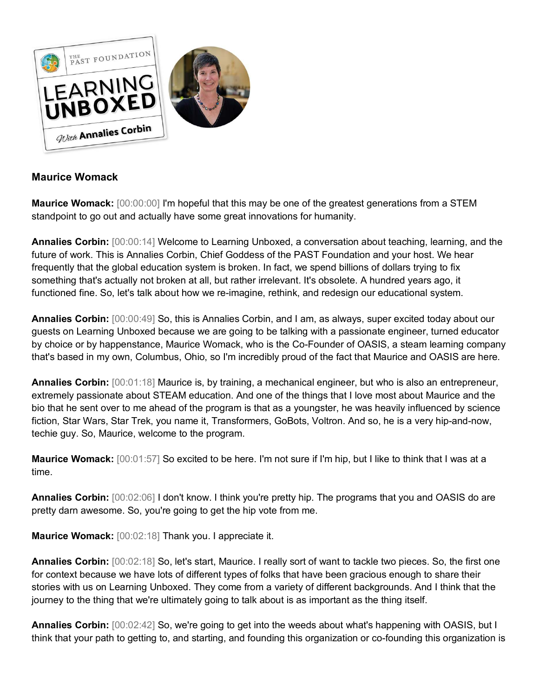

## **Maurice Womack**

**Maurice Womack:** [00:00:00] I'm hopeful that this may be one of the greatest generations from a STEM standpoint to go out and actually have some great innovations for humanity.

**Annalies Corbin:** [00:00:14] Welcome to Learning Unboxed, a conversation about teaching, learning, and the future of work. This is Annalies Corbin, Chief Goddess of the PAST Foundation and your host. We hear frequently that the global education system is broken. In fact, we spend billions of dollars trying to fix something that's actually not broken at all, but rather irrelevant. It's obsolete. A hundred years ago, it functioned fine. So, let's talk about how we re-imagine, rethink, and redesign our educational system.

**Annalies Corbin:** [00:00:49] So, this is Annalies Corbin, and I am, as always, super excited today about our guests on Learning Unboxed because we are going to be talking with a passionate engineer, turned educator by choice or by happenstance, Maurice Womack, who is the Co-Founder of OASIS, a steam learning company that's based in my own, Columbus, Ohio, so I'm incredibly proud of the fact that Maurice and OASIS are here.

**Annalies Corbin:** [00:01:18] Maurice is, by training, a mechanical engineer, but who is also an entrepreneur, extremely passionate about STEAM education. And one of the things that I love most about Maurice and the bio that he sent over to me ahead of the program is that as a youngster, he was heavily influenced by science fiction, Star Wars, Star Trek, you name it, Transformers, GoBots, Voltron. And so, he is a very hip-and-now, techie guy. So, Maurice, welcome to the program.

**Maurice Womack:** [00:01:57] So excited to be here. I'm not sure if I'm hip, but I like to think that I was at a time.

**Annalies Corbin:** [00:02:06] I don't know. I think you're pretty hip. The programs that you and OASIS do are pretty darn awesome. So, you're going to get the hip vote from me.

**Maurice Womack:** [00:02:18] Thank you. I appreciate it.

**Annalies Corbin:** [00:02:18] So, let's start, Maurice. I really sort of want to tackle two pieces. So, the first one for context because we have lots of different types of folks that have been gracious enough to share their stories with us on Learning Unboxed. They come from a variety of different backgrounds. And I think that the journey to the thing that we're ultimately going to talk about is as important as the thing itself.

**Annalies Corbin:** [00:02:42] So, we're going to get into the weeds about what's happening with OASIS, but I think that your path to getting to, and starting, and founding this organization or co-founding this organization is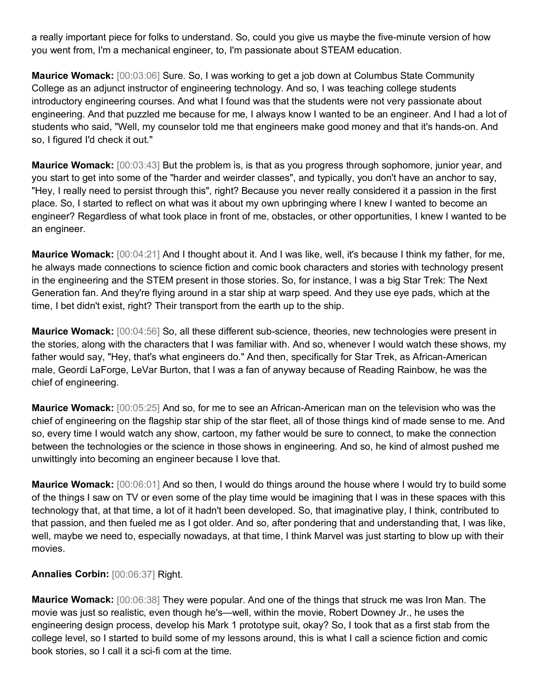a really important piece for folks to understand. So, could you give us maybe the five-minute version of how you went from, I'm a mechanical engineer, to, I'm passionate about STEAM education.

**Maurice Womack:** [00:03:06] Sure. So, I was working to get a job down at Columbus State Community College as an adjunct instructor of engineering technology. And so, I was teaching college students introductory engineering courses. And what I found was that the students were not very passionate about engineering. And that puzzled me because for me, I always know I wanted to be an engineer. And I had a lot of students who said, "Well, my counselor told me that engineers make good money and that it's hands-on. And so, I figured I'd check it out."

**Maurice Womack:** [00:03:43] But the problem is, is that as you progress through sophomore, junior year, and you start to get into some of the "harder and weirder classes", and typically, you don't have an anchor to say, "Hey, I really need to persist through this", right? Because you never really considered it a passion in the first place. So, I started to reflect on what was it about my own upbringing where I knew I wanted to become an engineer? Regardless of what took place in front of me, obstacles, or other opportunities, I knew I wanted to be an engineer.

**Maurice Womack:** [00:04:21] And I thought about it. And I was like, well, it's because I think my father, for me, he always made connections to science fiction and comic book characters and stories with technology present in the engineering and the STEM present in those stories. So, for instance, I was a big Star Trek: The Next Generation fan. And they're flying around in a star ship at warp speed. And they use eye pads, which at the time, I bet didn't exist, right? Their transport from the earth up to the ship.

**Maurice Womack:** [00:04:56] So, all these different sub-science, theories, new technologies were present in the stories, along with the characters that I was familiar with. And so, whenever I would watch these shows, my father would say, "Hey, that's what engineers do." And then, specifically for Star Trek, as African-American male, Geordi LaForge, LeVar Burton, that I was a fan of anyway because of Reading Rainbow, he was the chief of engineering.

**Maurice Womack:** [00:05:25] And so, for me to see an African-American man on the television who was the chief of engineering on the flagship star ship of the star fleet, all of those things kind of made sense to me. And so, every time I would watch any show, cartoon, my father would be sure to connect, to make the connection between the technologies or the science in those shows in engineering. And so, he kind of almost pushed me unwittingly into becoming an engineer because I love that.

**Maurice Womack:** [00:06:01] And so then, I would do things around the house where I would try to build some of the things I saw on TV or even some of the play time would be imagining that I was in these spaces with this technology that, at that time, a lot of it hadn't been developed. So, that imaginative play, I think, contributed to that passion, and then fueled me as I got older. And so, after pondering that and understanding that, I was like, well, maybe we need to, especially nowadays, at that time, I think Marvel was just starting to blow up with their movies.

## **Annalies Corbin:** [00:06:37] Right.

**Maurice Womack:** [00:06:38] They were popular. And one of the things that struck me was Iron Man. The movie was just so realistic, even though he's—well, within the movie, Robert Downey Jr., he uses the engineering design process, develop his Mark 1 prototype suit, okay? So, I took that as a first stab from the college level, so I started to build some of my lessons around, this is what I call a science fiction and comic book stories, so I call it a sci-fi com at the time.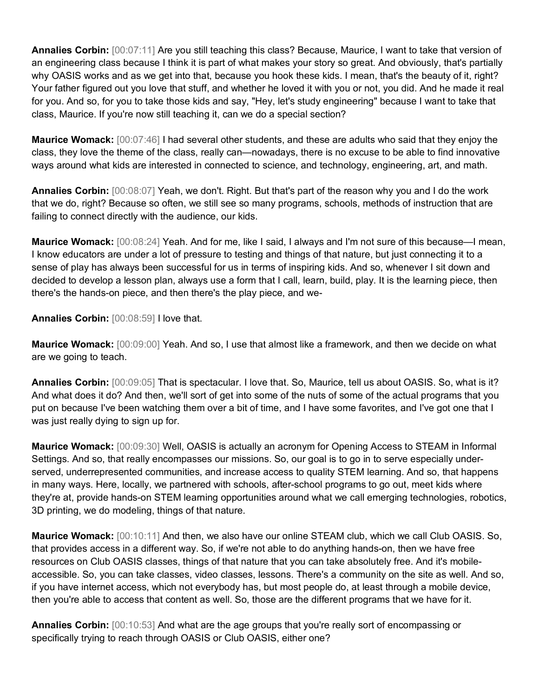**Annalies Corbin:** [00:07:11] Are you still teaching this class? Because, Maurice, I want to take that version of an engineering class because I think it is part of what makes your story so great. And obviously, that's partially why OASIS works and as we get into that, because you hook these kids. I mean, that's the beauty of it, right? Your father figured out you love that stuff, and whether he loved it with you or not, you did. And he made it real for you. And so, for you to take those kids and say, "Hey, let's study engineering" because I want to take that class, Maurice. If you're now still teaching it, can we do a special section?

**Maurice Womack:** [00:07:46] I had several other students, and these are adults who said that they enjoy the class, they love the theme of the class, really can—nowadays, there is no excuse to be able to find innovative ways around what kids are interested in connected to science, and technology, engineering, art, and math.

**Annalies Corbin:** [00:08:07] Yeah, we don't. Right. But that's part of the reason why you and I do the work that we do, right? Because so often, we still see so many programs, schools, methods of instruction that are failing to connect directly with the audience, our kids.

**Maurice Womack:** [00:08:24] Yeah. And for me, like I said, I always and I'm not sure of this because—I mean, I know educators are under a lot of pressure to testing and things of that nature, but just connecting it to a sense of play has always been successful for us in terms of inspiring kids. And so, whenever I sit down and decided to develop a lesson plan, always use a form that I call, learn, build, play. It is the learning piece, then there's the hands-on piece, and then there's the play piece, and we-

**Annalies Corbin:** [00:08:59] I love that.

**Maurice Womack:** [00:09:00] Yeah. And so, I use that almost like a framework, and then we decide on what are we going to teach.

**Annalies Corbin:** [00:09:05] That is spectacular. I love that. So, Maurice, tell us about OASIS. So, what is it? And what does it do? And then, we'll sort of get into some of the nuts of some of the actual programs that you put on because I've been watching them over a bit of time, and I have some favorites, and I've got one that I was just really dying to sign up for.

**Maurice Womack:** [00:09:30] Well, OASIS is actually an acronym for Opening Access to STEAM in Informal Settings. And so, that really encompasses our missions. So, our goal is to go in to serve especially underserved, underrepresented communities, and increase access to quality STEM learning. And so, that happens in many ways. Here, locally, we partnered with schools, after-school programs to go out, meet kids where they're at, provide hands-on STEM learning opportunities around what we call emerging technologies, robotics, 3D printing, we do modeling, things of that nature.

**Maurice Womack:** [00:10:11] And then, we also have our online STEAM club, which we call Club OASIS. So, that provides access in a different way. So, if we're not able to do anything hands-on, then we have free resources on Club OASIS classes, things of that nature that you can take absolutely free. And it's mobileaccessible. So, you can take classes, video classes, lessons. There's a community on the site as well. And so, if you have internet access, which not everybody has, but most people do, at least through a mobile device, then you're able to access that content as well. So, those are the different programs that we have for it.

**Annalies Corbin:** [00:10:53] And what are the age groups that you're really sort of encompassing or specifically trying to reach through OASIS or Club OASIS, either one?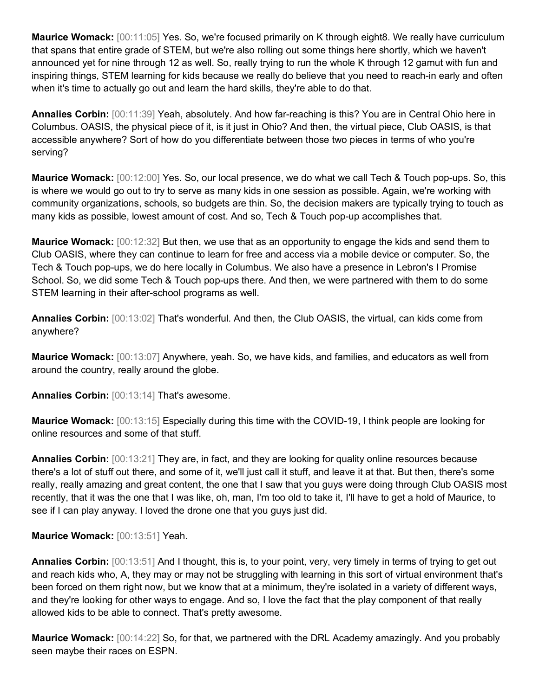**Maurice Womack:** [00:11:05] Yes. So, we're focused primarily on K through eight8. We really have curriculum that spans that entire grade of STEM, but we're also rolling out some things here shortly, which we haven't announced yet for nine through 12 as well. So, really trying to run the whole K through 12 gamut with fun and inspiring things, STEM learning for kids because we really do believe that you need to reach-in early and often when it's time to actually go out and learn the hard skills, they're able to do that.

**Annalies Corbin:** [00:11:39] Yeah, absolutely. And how far-reaching is this? You are in Central Ohio here in Columbus. OASIS, the physical piece of it, is it just in Ohio? And then, the virtual piece, Club OASIS, is that accessible anywhere? Sort of how do you differentiate between those two pieces in terms of who you're serving?

**Maurice Womack:** [00:12:00] Yes. So, our local presence, we do what we call Tech & Touch pop-ups. So, this is where we would go out to try to serve as many kids in one session as possible. Again, we're working with community organizations, schools, so budgets are thin. So, the decision makers are typically trying to touch as many kids as possible, lowest amount of cost. And so, Tech & Touch pop-up accomplishes that.

**Maurice Womack:** [00:12:32] But then, we use that as an opportunity to engage the kids and send them to Club OASIS, where they can continue to learn for free and access via a mobile device or computer. So, the Tech & Touch pop-ups, we do here locally in Columbus. We also have a presence in Lebron's I Promise School. So, we did some Tech & Touch pop-ups there. And then, we were partnered with them to do some STEM learning in their after-school programs as well.

**Annalies Corbin:** [00:13:02] That's wonderful. And then, the Club OASIS, the virtual, can kids come from anywhere?

**Maurice Womack:** [00:13:07] Anywhere, yeah. So, we have kids, and families, and educators as well from around the country, really around the globe.

**Annalies Corbin:** [00:13:14] That's awesome.

**Maurice Womack:** [00:13:15] Especially during this time with the COVID-19, I think people are looking for online resources and some of that stuff.

**Annalies Corbin:** [00:13:21] They are, in fact, and they are looking for quality online resources because there's a lot of stuff out there, and some of it, we'll just call it stuff, and leave it at that. But then, there's some really, really amazing and great content, the one that I saw that you guys were doing through Club OASIS most recently, that it was the one that I was like, oh, man, I'm too old to take it, I'll have to get a hold of Maurice, to see if I can play anyway. I loved the drone one that you guys just did.

**Maurice Womack:** [00:13:51] Yeah.

**Annalies Corbin:** [00:13:51] And I thought, this is, to your point, very, very timely in terms of trying to get out and reach kids who, A, they may or may not be struggling with learning in this sort of virtual environment that's been forced on them right now, but we know that at a minimum, they're isolated in a variety of different ways, and they're looking for other ways to engage. And so, I love the fact that the play component of that really allowed kids to be able to connect. That's pretty awesome.

**Maurice Womack:** [00:14:22] So, for that, we partnered with the DRL Academy amazingly. And you probably seen maybe their races on ESPN.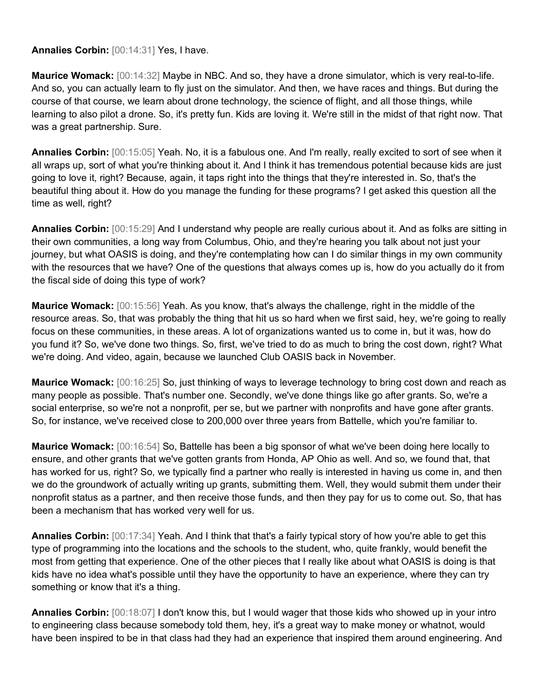**Annalies Corbin:** [00:14:31] Yes, I have.

**Maurice Womack:** [00:14:32] Maybe in NBC. And so, they have a drone simulator, which is very real-to-life. And so, you can actually learn to fly just on the simulator. And then, we have races and things. But during the course of that course, we learn about drone technology, the science of flight, and all those things, while learning to also pilot a drone. So, it's pretty fun. Kids are loving it. We're still in the midst of that right now. That was a great partnership. Sure.

**Annalies Corbin:** [00:15:05] Yeah. No, it is a fabulous one. And I'm really, really excited to sort of see when it all wraps up, sort of what you're thinking about it. And I think it has tremendous potential because kids are just going to love it, right? Because, again, it taps right into the things that they're interested in. So, that's the beautiful thing about it. How do you manage the funding for these programs? I get asked this question all the time as well, right?

**Annalies Corbin:** [00:15:29] And I understand why people are really curious about it. And as folks are sitting in their own communities, a long way from Columbus, Ohio, and they're hearing you talk about not just your journey, but what OASIS is doing, and they're contemplating how can I do similar things in my own community with the resources that we have? One of the questions that always comes up is, how do you actually do it from the fiscal side of doing this type of work?

**Maurice Womack:** [00:15:56] Yeah. As you know, that's always the challenge, right in the middle of the resource areas. So, that was probably the thing that hit us so hard when we first said, hey, we're going to really focus on these communities, in these areas. A lot of organizations wanted us to come in, but it was, how do you fund it? So, we've done two things. So, first, we've tried to do as much to bring the cost down, right? What we're doing. And video, again, because we launched Club OASIS back in November.

**Maurice Womack:** [00:16:25] So, just thinking of ways to leverage technology to bring cost down and reach as many people as possible. That's number one. Secondly, we've done things like go after grants. So, we're a social enterprise, so we're not a nonprofit, per se, but we partner with nonprofits and have gone after grants. So, for instance, we've received close to 200,000 over three years from Battelle, which you're familiar to.

**Maurice Womack:** [00:16:54] So, Battelle has been a big sponsor of what we've been doing here locally to ensure, and other grants that we've gotten grants from Honda, AP Ohio as well. And so, we found that, that has worked for us, right? So, we typically find a partner who really is interested in having us come in, and then we do the groundwork of actually writing up grants, submitting them. Well, they would submit them under their nonprofit status as a partner, and then receive those funds, and then they pay for us to come out. So, that has been a mechanism that has worked very well for us.

**Annalies Corbin:** [00:17:34] Yeah. And I think that that's a fairly typical story of how you're able to get this type of programming into the locations and the schools to the student, who, quite frankly, would benefit the most from getting that experience. One of the other pieces that I really like about what OASIS is doing is that kids have no idea what's possible until they have the opportunity to have an experience, where they can try something or know that it's a thing.

**Annalies Corbin:** [00:18:07] I don't know this, but I would wager that those kids who showed up in your intro to engineering class because somebody told them, hey, it's a great way to make money or whatnot, would have been inspired to be in that class had they had an experience that inspired them around engineering. And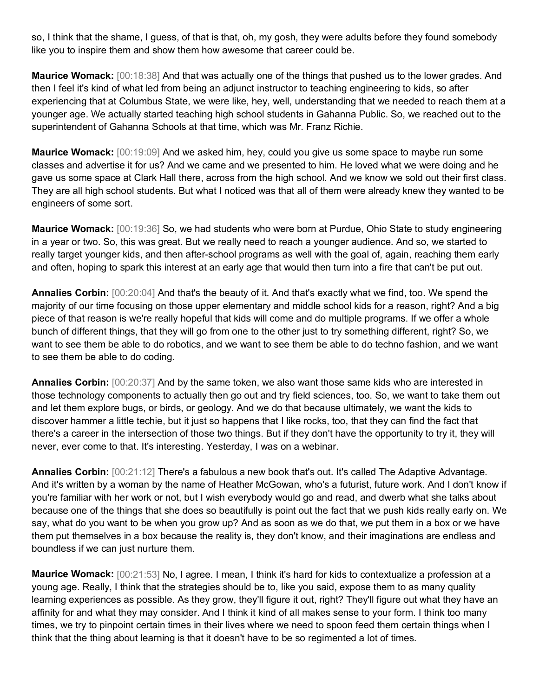so, I think that the shame, I guess, of that is that, oh, my gosh, they were adults before they found somebody like you to inspire them and show them how awesome that career could be.

**Maurice Womack:** [00:18:38] And that was actually one of the things that pushed us to the lower grades. And then I feel it's kind of what led from being an adjunct instructor to teaching engineering to kids, so after experiencing that at Columbus State, we were like, hey, well, understanding that we needed to reach them at a younger age. We actually started teaching high school students in Gahanna Public. So, we reached out to the superintendent of Gahanna Schools at that time, which was Mr. Franz Richie.

**Maurice Womack:** [00:19:09] And we asked him, hey, could you give us some space to maybe run some classes and advertise it for us? And we came and we presented to him. He loved what we were doing and he gave us some space at Clark Hall there, across from the high school. And we know we sold out their first class. They are all high school students. But what I noticed was that all of them were already knew they wanted to be engineers of some sort.

**Maurice Womack:** [00:19:36] So, we had students who were born at Purdue, Ohio State to study engineering in a year or two. So, this was great. But we really need to reach a younger audience. And so, we started to really target younger kids, and then after-school programs as well with the goal of, again, reaching them early and often, hoping to spark this interest at an early age that would then turn into a fire that can't be put out.

**Annalies Corbin:** [00:20:04] And that's the beauty of it. And that's exactly what we find, too. We spend the majority of our time focusing on those upper elementary and middle school kids for a reason, right? And a big piece of that reason is we're really hopeful that kids will come and do multiple programs. If we offer a whole bunch of different things, that they will go from one to the other just to try something different, right? So, we want to see them be able to do robotics, and we want to see them be able to do techno fashion, and we want to see them be able to do coding.

**Annalies Corbin:** [00:20:37] And by the same token, we also want those same kids who are interested in those technology components to actually then go out and try field sciences, too. So, we want to take them out and let them explore bugs, or birds, or geology. And we do that because ultimately, we want the kids to discover hammer a little techie, but it just so happens that I like rocks, too, that they can find the fact that there's a career in the intersection of those two things. But if they don't have the opportunity to try it, they will never, ever come to that. It's interesting. Yesterday, I was on a webinar.

**Annalies Corbin:** [00:21:12] There's a fabulous a new book that's out. It's called The Adaptive Advantage. And it's written by a woman by the name of Heather McGowan, who's a futurist, future work. And I don't know if you're familiar with her work or not, but I wish everybody would go and read, and dwerb what she talks about because one of the things that she does so beautifully is point out the fact that we push kids really early on. We say, what do you want to be when you grow up? And as soon as we do that, we put them in a box or we have them put themselves in a box because the reality is, they don't know, and their imaginations are endless and boundless if we can just nurture them.

**Maurice Womack:** [00:21:53] No, I agree. I mean, I think it's hard for kids to contextualize a profession at a young age. Really, I think that the strategies should be to, like you said, expose them to as many quality learning experiences as possible. As they grow, they'll figure it out, right? They'll figure out what they have an affinity for and what they may consider. And I think it kind of all makes sense to your form. I think too many times, we try to pinpoint certain times in their lives where we need to spoon feed them certain things when I think that the thing about learning is that it doesn't have to be so regimented a lot of times.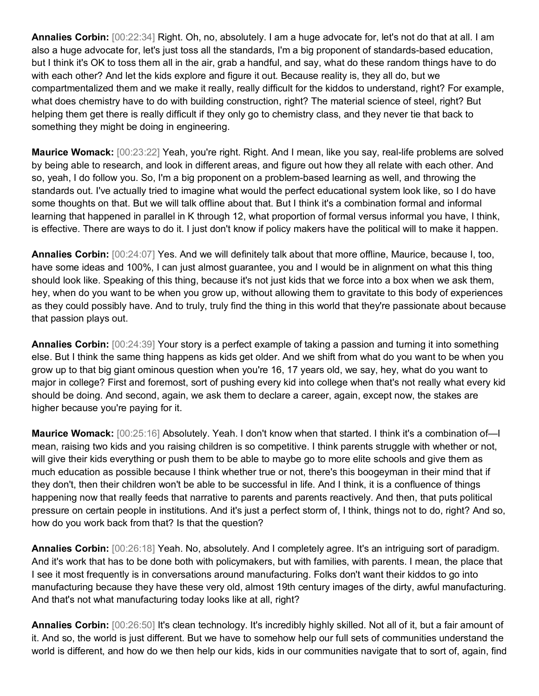**Annalies Corbin:** [00:22:34] Right. Oh, no, absolutely. I am a huge advocate for, let's not do that at all. I am also a huge advocate for, let's just toss all the standards, I'm a big proponent of standards-based education, but I think it's OK to toss them all in the air, grab a handful, and say, what do these random things have to do with each other? And let the kids explore and figure it out. Because reality is, they all do, but we compartmentalized them and we make it really, really difficult for the kiddos to understand, right? For example, what does chemistry have to do with building construction, right? The material science of steel, right? But helping them get there is really difficult if they only go to chemistry class, and they never tie that back to something they might be doing in engineering.

**Maurice Womack:** [00:23:22] Yeah, you're right. Right. And I mean, like you say, real-life problems are solved by being able to research, and look in different areas, and figure out how they all relate with each other. And so, yeah, I do follow you. So, I'm a big proponent on a problem-based learning as well, and throwing the standards out. I've actually tried to imagine what would the perfect educational system look like, so I do have some thoughts on that. But we will talk offline about that. But I think it's a combination formal and informal learning that happened in parallel in K through 12, what proportion of formal versus informal you have, I think, is effective. There are ways to do it. I just don't know if policy makers have the political will to make it happen.

**Annalies Corbin:** [00:24:07] Yes. And we will definitely talk about that more offline, Maurice, because I, too, have some ideas and 100%, I can just almost guarantee, you and I would be in alignment on what this thing should look like. Speaking of this thing, because it's not just kids that we force into a box when we ask them, hey, when do you want to be when you grow up, without allowing them to gravitate to this body of experiences as they could possibly have. And to truly, truly find the thing in this world that they're passionate about because that passion plays out.

**Annalies Corbin:** [00:24:39] Your story is a perfect example of taking a passion and turning it into something else. But I think the same thing happens as kids get older. And we shift from what do you want to be when you grow up to that big giant ominous question when you're 16, 17 years old, we say, hey, what do you want to major in college? First and foremost, sort of pushing every kid into college when that's not really what every kid should be doing. And second, again, we ask them to declare a career, again, except now, the stakes are higher because you're paying for it.

**Maurice Womack:** [00:25:16] Absolutely. Yeah. I don't know when that started. I think it's a combination of—I mean, raising two kids and you raising children is so competitive. I think parents struggle with whether or not, will give their kids everything or push them to be able to maybe go to more elite schools and give them as much education as possible because I think whether true or not, there's this boogeyman in their mind that if they don't, then their children won't be able to be successful in life. And I think, it is a confluence of things happening now that really feeds that narrative to parents and parents reactively. And then, that puts political pressure on certain people in institutions. And it's just a perfect storm of, I think, things not to do, right? And so, how do you work back from that? Is that the question?

**Annalies Corbin:** [00:26:18] Yeah. No, absolutely. And I completely agree. It's an intriguing sort of paradigm. And it's work that has to be done both with policymakers, but with families, with parents. I mean, the place that I see it most frequently is in conversations around manufacturing. Folks don't want their kiddos to go into manufacturing because they have these very old, almost 19th century images of the dirty, awful manufacturing. And that's not what manufacturing today looks like at all, right?

**Annalies Corbin:** [00:26:50] It's clean technology. It's incredibly highly skilled. Not all of it, but a fair amount of it. And so, the world is just different. But we have to somehow help our full sets of communities understand the world is different, and how do we then help our kids, kids in our communities navigate that to sort of, again, find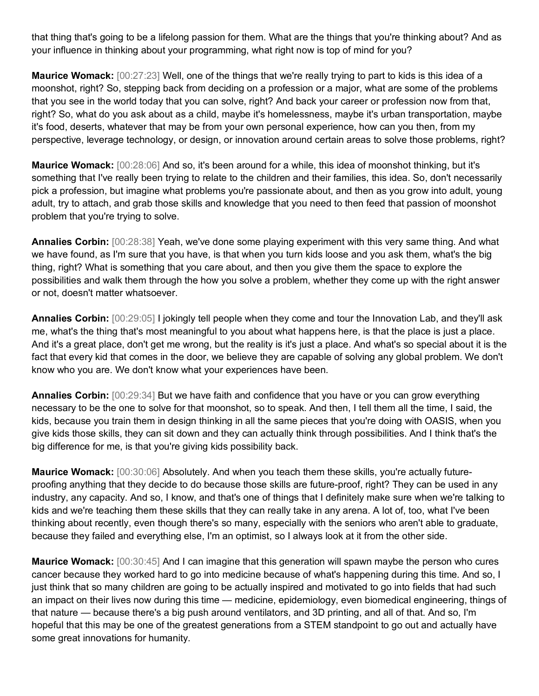that thing that's going to be a lifelong passion for them. What are the things that you're thinking about? And as your influence in thinking about your programming, what right now is top of mind for you?

**Maurice Womack:** [00:27:23] Well, one of the things that we're really trying to part to kids is this idea of a moonshot, right? So, stepping back from deciding on a profession or a major, what are some of the problems that you see in the world today that you can solve, right? And back your career or profession now from that, right? So, what do you ask about as a child, maybe it's homelessness, maybe it's urban transportation, maybe it's food, deserts, whatever that may be from your own personal experience, how can you then, from my perspective, leverage technology, or design, or innovation around certain areas to solve those problems, right?

**Maurice Womack:** [00:28:06] And so, it's been around for a while, this idea of moonshot thinking, but it's something that I've really been trying to relate to the children and their families, this idea. So, don't necessarily pick a profession, but imagine what problems you're passionate about, and then as you grow into adult, young adult, try to attach, and grab those skills and knowledge that you need to then feed that passion of moonshot problem that you're trying to solve.

**Annalies Corbin:** [00:28:38] Yeah, we've done some playing experiment with this very same thing. And what we have found, as I'm sure that you have, is that when you turn kids loose and you ask them, what's the big thing, right? What is something that you care about, and then you give them the space to explore the possibilities and walk them through the how you solve a problem, whether they come up with the right answer or not, doesn't matter whatsoever.

**Annalies Corbin:** [00:29:05] I jokingly tell people when they come and tour the Innovation Lab, and they'll ask me, what's the thing that's most meaningful to you about what happens here, is that the place is just a place. And it's a great place, don't get me wrong, but the reality is it's just a place. And what's so special about it is the fact that every kid that comes in the door, we believe they are capable of solving any global problem. We don't know who you are. We don't know what your experiences have been.

**Annalies Corbin:** [00:29:34] But we have faith and confidence that you have or you can grow everything necessary to be the one to solve for that moonshot, so to speak. And then, I tell them all the time, I said, the kids, because you train them in design thinking in all the same pieces that you're doing with OASIS, when you give kids those skills, they can sit down and they can actually think through possibilities. And I think that's the big difference for me, is that you're giving kids possibility back.

**Maurice Womack:** [00:30:06] Absolutely. And when you teach them these skills, you're actually futureproofing anything that they decide to do because those skills are future-proof, right? They can be used in any industry, any capacity. And so, I know, and that's one of things that I definitely make sure when we're talking to kids and we're teaching them these skills that they can really take in any arena. A lot of, too, what I've been thinking about recently, even though there's so many, especially with the seniors who aren't able to graduate, because they failed and everything else, I'm an optimist, so I always look at it from the other side.

**Maurice Womack:** [00:30:45] And I can imagine that this generation will spawn maybe the person who cures cancer because they worked hard to go into medicine because of what's happening during this time. And so, I just think that so many children are going to be actually inspired and motivated to go into fields that had such an impact on their lives now during this time — medicine, epidemiology, even biomedical engineering, things of that nature — because there's a big push around ventilators, and 3D printing, and all of that. And so, I'm hopeful that this may be one of the greatest generations from a STEM standpoint to go out and actually have some great innovations for humanity.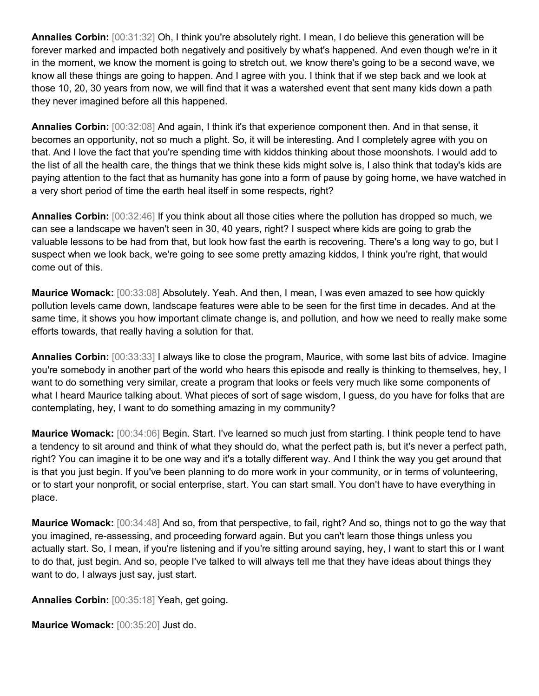**Annalies Corbin:** [00:31:32] Oh, I think you're absolutely right. I mean, I do believe this generation will be forever marked and impacted both negatively and positively by what's happened. And even though we're in it in the moment, we know the moment is going to stretch out, we know there's going to be a second wave, we know all these things are going to happen. And I agree with you. I think that if we step back and we look at those 10, 20, 30 years from now, we will find that it was a watershed event that sent many kids down a path they never imagined before all this happened.

**Annalies Corbin:** [00:32:08] And again, I think it's that experience component then. And in that sense, it becomes an opportunity, not so much a plight. So, it will be interesting. And I completely agree with you on that. And I love the fact that you're spending time with kiddos thinking about those moonshots. I would add to the list of all the health care, the things that we think these kids might solve is, I also think that today's kids are paying attention to the fact that as humanity has gone into a form of pause by going home, we have watched in a very short period of time the earth heal itself in some respects, right?

**Annalies Corbin:** [00:32:46] If you think about all those cities where the pollution has dropped so much, we can see a landscape we haven't seen in 30, 40 years, right? I suspect where kids are going to grab the valuable lessons to be had from that, but look how fast the earth is recovering. There's a long way to go, but I suspect when we look back, we're going to see some pretty amazing kiddos, I think you're right, that would come out of this.

**Maurice Womack:** [00:33:08] Absolutely. Yeah. And then, I mean, I was even amazed to see how quickly pollution levels came down, landscape features were able to be seen for the first time in decades. And at the same time, it shows you how important climate change is, and pollution, and how we need to really make some efforts towards, that really having a solution for that.

**Annalies Corbin:** [00:33:33] I always like to close the program, Maurice, with some last bits of advice. Imagine you're somebody in another part of the world who hears this episode and really is thinking to themselves, hey, I want to do something very similar, create a program that looks or feels very much like some components of what I heard Maurice talking about. What pieces of sort of sage wisdom, I guess, do you have for folks that are contemplating, hey, I want to do something amazing in my community?

**Maurice Womack:** [00:34:06] Begin. Start. I've learned so much just from starting. I think people tend to have a tendency to sit around and think of what they should do, what the perfect path is, but it's never a perfect path, right? You can imagine it to be one way and it's a totally different way. And I think the way you get around that is that you just begin. If you've been planning to do more work in your community, or in terms of volunteering, or to start your nonprofit, or social enterprise, start. You can start small. You don't have to have everything in place.

**Maurice Womack:** [00:34:48] And so, from that perspective, to fail, right? And so, things not to go the way that you imagined, re-assessing, and proceeding forward again. But you can't learn those things unless you actually start. So, I mean, if you're listening and if you're sitting around saying, hey, I want to start this or I want to do that, just begin. And so, people I've talked to will always tell me that they have ideas about things they want to do, I always just say, just start.

**Annalies Corbin:** [00:35:18] Yeah, get going.

**Maurice Womack:** [00:35:20] Just do.